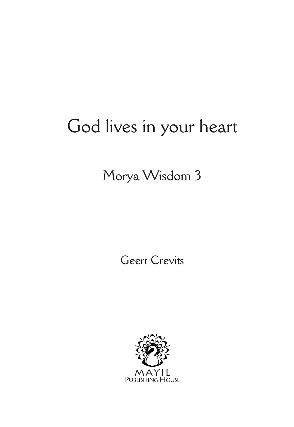# God lives in your heart

# Morya Wisdom 3

Geert Crevits

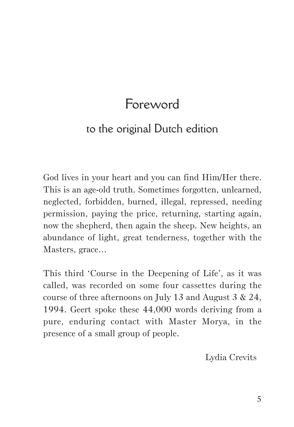# Foreword

## to the original Dutch edition

God lives in your heart and you can find Him/Her there. This is an age-old truth. Sometimes forgotten, unlearned, neglected, forbidden, burned, illegal, repressed, needing permission, paying the price, returning, starting again, now the shepherd, then again the sheep. New heights, an abundance of light, great tenderness, together with the Masters, grace…

This third 'Course in the Deepening of Life', as it was called, was recorded on some four cassettes during the course of three afternoons on July 13 and August 3 & 24, 1994. Geert spoke these 44,000 words deriving from a pure, enduring contact with Master Morya, in the presence of a small group of people.

Lydia Crevits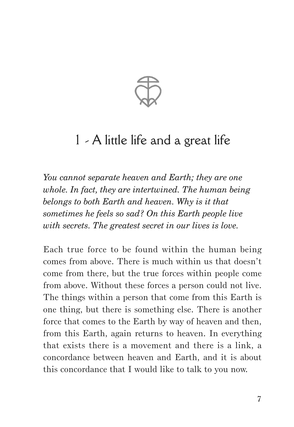

# 1 - A little life and a great life

*You cannot separate heaven and Earth; they are one whole. In fact, they are intertwined. The human being belongs to both Earth and heaven. Why is it that sometimes he feels so sad? On this Earth people live with secrets. The greatest secret in our lives is love.*

Each true force to be found within the human being comes from above. There is much within us that doesn't come from there, but the true forces within people come from above. Without these forces a person could not live. The things within a person that come from this Earth is one thing, but there is something else. There is another force that comes to the Earth by way of heaven and then, from this Earth, again returns to heaven. In everything that exists there is a movement and there is a link, a concordance between heaven and Earth, and it is about this concordance that I would like to talk to you now.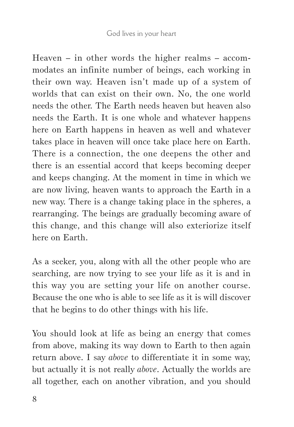Heaven – in other words the higher realms – accommodates an infinite number of beings, each working in their own way. Heaven isn't made up of a system of worlds that can exist on their own. No, the one world needs the other. The Earth needs heaven but heaven also needs the Earth. It is one whole and whatever happens here on Earth happens in heaven as well and whatever takes place in heaven will once take place here on Earth. There is a connection, the one deepens the other and there is an essential accord that keeps becoming deeper and keeps changing. At the moment in time in which we are now living, heaven wants to approach the Earth in a new way. There is a change taking place in the spheres, a rearranging. The beings are gradually becoming aware of this change, and this change will also exteriorize itself here on Earth.

As a seeker, you, along with all the other people who are searching, are now trying to see your life as it is and in this way you are setting your life on another course. Because the one who is able to see life as it is will discover that he begins to do other things with his life.

You should look at life as being an energy that comes from above, making its way down to Earth to then again return above. I say *above* to differentiate it in some way, but actually it is not really *above*. Actually the worlds are all together, each on another vibration, and you should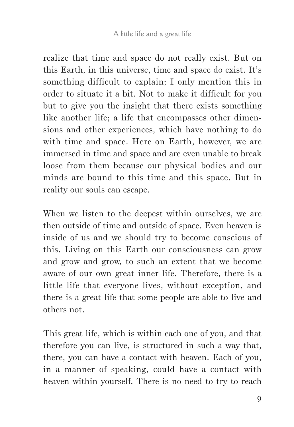realize that time and space do not really exist. But on this Earth, in this universe, time and space do exist. It's something difficult to explain; I only mention this in order to situate it a bit. Not to make it difficult for you but to give you the insight that there exists something like another life; a life that encompasses other dimensions and other experiences, which have nothing to do with time and space. Here on Earth, however, we are immersed in time and space and are even unable to break loose from them because our physical bodies and our minds are bound to this time and this space. But in reality our souls can escape.

When we listen to the deepest within ourselves, we are then outside of time and outside of space. Even heaven is inside of us and we should try to become conscious of this. Living on this Earth our consciousness can grow and grow and grow, to such an extent that we become aware of our own great inner life. Therefore, there is a little life that everyone lives, without exception, and there is a great life that some people are able to live and others not.

This great life, which is within each one of you, and that therefore you can live, is structured in such a way that, there, you can have a contact with heaven. Each of you, in a manner of speaking, could have a contact with heaven within yourself. There is no need to try to reach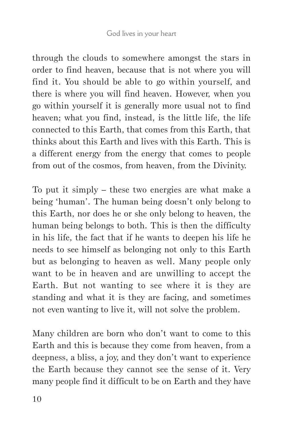through the clouds to somewhere amongst the stars in order to find heaven, because that is not where you will find it. You should be able to go within yourself, and there is where you will find heaven. However, when you go within yourself it is generally more usual not to find heaven; what you find, instead, is the little life, the life connected to this Earth, that comes from this Earth, that thinks about this Earth and lives with this Earth. This is a different energy from the energy that comes to people from out of the cosmos, from heaven, from the Divinity.

To put it simply – these two energies are what make a being 'human'. The human being doesn't only belong to this Earth, nor does he or she only belong to heaven, the human being belongs to both. This is then the difficulty in his life, the fact that if he wants to deepen his life he needs to see himself as belonging not only to this Earth but as belonging to heaven as well. Many people only want to be in heaven and are unwilling to accept the Earth. But not wanting to see where it is they are standing and what it is they are facing, and sometimes not even wanting to live it, will not solve the problem.

Many children are born who don't want to come to this Earth and this is because they come from heaven, from a deepness, a bliss, a joy, and they don't want to experience the Earth because they cannot see the sense of it. Very many people find it difficult to be on Earth and they have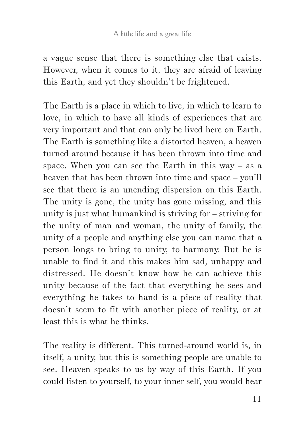a vague sense that there is something else that exists. However, when it comes to it, they are afraid of leaving this Earth, and yet they shouldn't be frightened.

The Earth is a place in which to live, in which to learn to love, in which to have all kinds of experiences that are very important and that can only be lived here on Earth. The Earth is something like a distorted heaven, a heaven turned around because it has been thrown into time and space. When you can see the Earth in this way – as a heaven that has been thrown into time and space – you'll see that there is an unending dispersion on this Earth. The unity is gone, the unity has gone missing, and this unity is just what humankind is striving for – striving for the unity of man and woman, the unity of family, the unity of a people and anything else you can name that a person longs to bring to unity, to harmony. But he is unable to find it and this makes him sad, unhappy and distressed. He doesn't know how he can achieve this unity because of the fact that everything he sees and everything he takes to hand is a piece of reality that doesn't seem to fit with another piece of reality, or at least this is what he thinks.

The reality is different. This turned-around world is, in itself, a unity, but this is something people are unable to see. Heaven speaks to us by way of this Earth. If you could listen to yourself, to your inner self, you would hear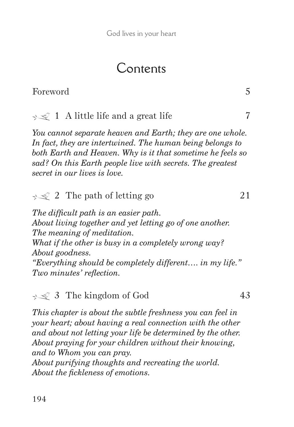# Contents

## Foreword 5

## $\leq 1$  A little life and a great life 7

*You cannot separate heaven and Earth; they are one whole. In fact, they are intertwined. The human being belongs to both Earth and Heaven. Why is it that sometime he feels so sad? On this Earth people live with secrets. The greatest secret in our lives is love.*

## $\leq 2$  The path of letting go 21

*The difficult path is an easier path. About living together and yet letting go of one another. The meaning of meditation. What if the other is busy in a completely wrong way? About goodness. "Everything should be completely different…. in my life." Two minutes' reflection.*

 $\leq 3$  The kingdom of God 43

*This chapter is about the subtle freshness you can feel in your heart; about having a real connection with the other and about not letting your life be determined by the other. About praying for your children without their knowing, and to Whom you can pray.*

*About purifying thoughts and recreating the world. About the fickleness of emotions.*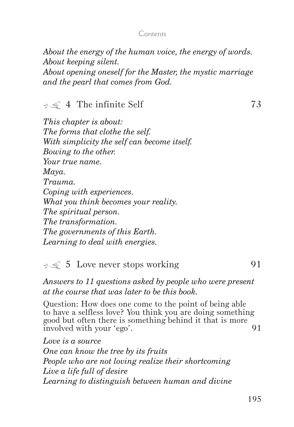#### Contents

*About the energy of the human voice, the energy of words. About keeping silent. About opening oneself for the Master, the mystic marriage and the pearl that comes from God.*

#### $\leq 4$  The infinite Self 73

*This chapter is about: The forms that clothe the self. With simplicity the self can become itself. Bowing to the other. Your true name. Maya. Trauma. Coping with experiences. What you think becomes your reality. The spiritual person. The transformation. The governments of this Earth. Learning to deal with energies.*

### $\leq 5$  Love never stops working 91

*Answers to 11 questions asked by people who were present at the course that was later to be this book.*

Question: How does one come to the point of being able to have a selfless love? You think you are doing something good but often there is something behind it that is more involved with your 'ego'. 91

*Love is a source One can know the tree by its fruits People who are not loving realize their shortcoming Live a life full of desire Learning to distinguish between human and divine*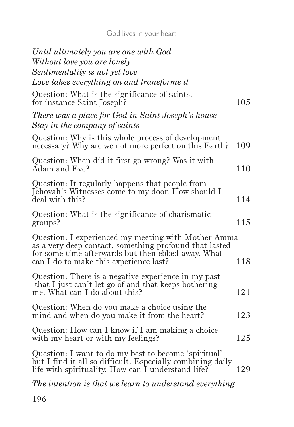God lives in your heart

| Until ultimately you are one with God                                                                                                                                                                         |     |
|---------------------------------------------------------------------------------------------------------------------------------------------------------------------------------------------------------------|-----|
| Without love you are lonely                                                                                                                                                                                   |     |
| Sentimentality is not yet love                                                                                                                                                                                |     |
| Love takes everything on and transforms it                                                                                                                                                                    |     |
| Question: What is the significance of saints,<br>for instance Saint Joseph?                                                                                                                                   | 105 |
| There was a place for God in Saint Joseph's house<br>Stay in the company of saints                                                                                                                            |     |
| Question: Why is this whole process of development<br>necessary? Why are we not more perfect on this Earth?                                                                                                   | 109 |
| Question: When did it first go wrong? Was it with<br>Adam and Eve?                                                                                                                                            | 110 |
| Question: It regularly happens that people from<br>Jehovah's Witnesses come to my door. How should I<br>deal with this?                                                                                       | 114 |
| Question: What is the significance of charismatic<br>groups?                                                                                                                                                  | 115 |
| Question: I experienced my meeting with Mother Amma<br>as a very deep contact, something profound that lasted<br>for some time afterwards but then ebbed away. What<br>can I do to make this experience last? | 118 |
| Question: There is a negative experience in my past<br>that I just can't let go of and that keeps bothering<br>me. What can I do about this?                                                                  | 121 |
| Question: When do you make a choice using the<br>mind and when do you make it from the heart?                                                                                                                 | 123 |
| Question: How can I know if I am making a choice<br>with my heart or with my feelings?                                                                                                                        | 125 |
| Question: I want to do my best to become 'spiritual'<br>but I find it all so difficult. Especially combining daily<br>life with spirituality. How can I understand life?                                      | 129 |
| The intention is that we learn to understand everything                                                                                                                                                       |     |
|                                                                                                                                                                                                               |     |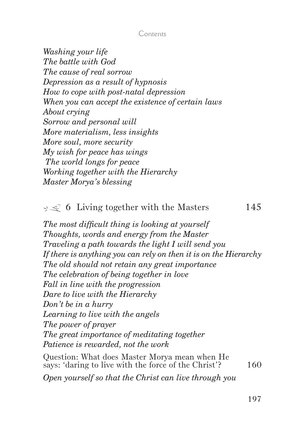#### Contents

*Washing your life The battle with God The cause of real sorrow Depression as a result of hypnosis How to cope with post-natal depression When you can accept the existence of certain laws About crying Sorrow and personal will More materialism, less insights More soul, more security My wish for peace has wings The world longs for peace Working together with the Hierarchy Master Morya's blessing*

### $\leq$  6 Living together with the Masters 145

*The most difficult thing is looking at yourself Thoughts, words and energy from the Master Traveling a path towards the light I will send you If there is anything you can rely on then it is on the Hierarchy The old should not retain any great importance The celebration of being together in love Fall in line with the progression Dare to live with the Hierarchy Don't be in a hurry Learning to live with the angels The power of prayer The great importance of meditating together Patience is rewarded, not the work*

Question: What does Master Morya mean when He says: 'daring to live with the force of the Christ'? <sup>160</sup>

*Open yourself so that the Christ can live through you*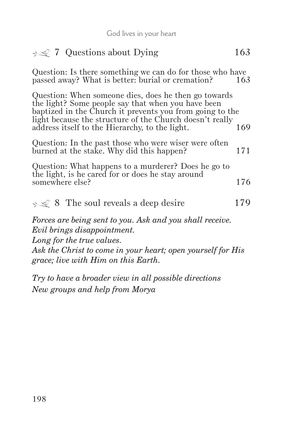| God lives in your neart                                                                                                                                                                                                                                                              |     |
|--------------------------------------------------------------------------------------------------------------------------------------------------------------------------------------------------------------------------------------------------------------------------------------|-----|
| $\leq 7$ Questions about Dying                                                                                                                                                                                                                                                       | 163 |
| Question: Is there something we can do for those who have<br>passed away? What is better: burial or cremation?                                                                                                                                                                       | 163 |
| Question: When someone dies, does he then go towards<br>the light? Some people say that when you have been<br>baptized in the Church it prevents you from going to the<br>light because the structure of the Church doesn't really<br>address itself to the Hierarchy, to the light. | 169 |
| Question: In the past those who were wiser were often<br>burned at the stake. Why did this happen?                                                                                                                                                                                   | 171 |
| Question: What happens to a murderer? Does he go to<br>the light, is he cared for or does he stay around<br>somewhere else?                                                                                                                                                          | 176 |
| $\leq 8$ The soul reveals a deep desire                                                                                                                                                                                                                                              | 179 |
| Forces are being sent to you. Ask and you shall receive.<br>Evil brings disappointment.<br>Long for the true values.                                                                                                                                                                 |     |

*Ask the Christ to come in your heart; open yourself for His grace; live with Him on this Earth.*

*Try to have a broader view in all possible directions New groups and help from Morya*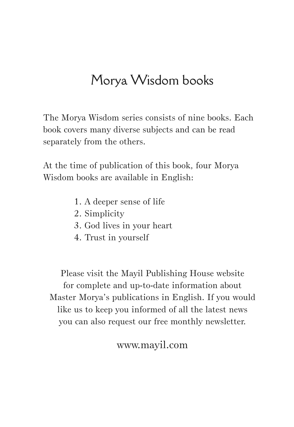# Morya Wisdom books

The Morya Wisdom series consists of nine books. Each book covers many diverse subjects and can be read separately from the others.

At the time of publication of this book, four Morya Wisdom books are available in English:

- 1. A deeper sense of life
- 2. Simplicity
- 3. God lives in your heart
- 4. Trust in yourself

Please visit the Mayil Publishing House website for complete and up-to-date information about Master Morya's publications in English. If you would like us to keep you informed of all the latest news you can also request our free monthly newsletter.

www.mayil.com